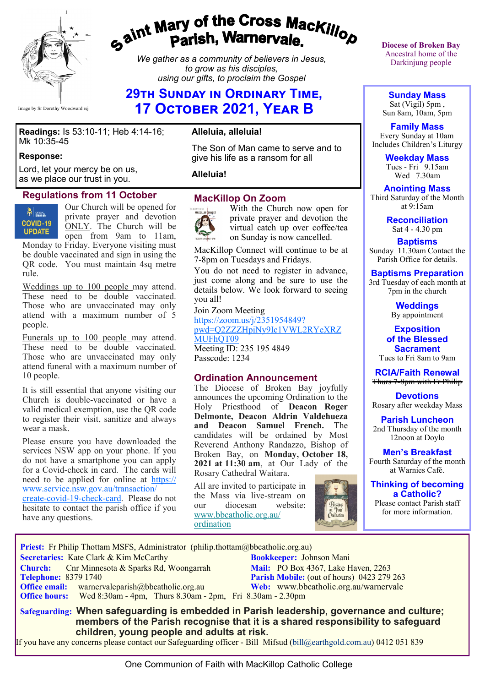

# gaint Mary of the Cross Mackillop<br>g<sup>aint</sup> Parish, Warnervale.

*We gather as a community of believers in Jesus, to grow as his disciples, using our gifts, to proclaim the Gospel*

## **29th Sunday in Ordinary Time, 17 October 2021, Year B**

#### **Readings:** Is 53:10-11; Heb 4:14-16; Mk 10:35-45

#### **Response:**

Lord, let your mercy be on us, as we place our trust in you.

#### **Regulations from 11 October**

**FEE** SATHOLIC **COVID-19 UPDATE** 

Our Church will be opened for private prayer and devotion ONLY. The Church will be open from 9am to 11am,

Monday to Friday. Everyone visiting must be double vaccinated and sign in using the QR code. You must maintain 4sq metre rule.

Weddings up to 100 people may attend. These need to be double vaccinated. Those who are unvaccinated may only attend with a maximum number of 5 people.

Funerals up to 100 people may attend. These need to be double vaccinated. Those who are unvaccinated may only attend funeral with a maximum number of 10 people.

It is still essential that anyone visiting our Church is double-vaccinated or have a valid medical exemption, use the QR code to register their visit, sanitize and always wear a mask.

Please ensure you have downloaded the services NSW app on your phone. If you do not have a smartphone you can apply for a Covid-check in card. The cards will need to be applied for online at [https://](https://www.service.nsw.gov.au/transaction/create-covid-19-check-card) [www.service.nsw.gov.au/transaction/](https://www.service.nsw.gov.au/transaction/create-covid-19-check-card)

[create](https://www.service.nsw.gov.au/transaction/create-covid-19-check-card)-covid-19-check-card. Please do not hesitate to contact the parish office if you have any questions.

## **Alleluia, alleluia!**

The Son of Man came to serve and to give his life as a ransom for all

#### **Alleluia!**

#### **MacKillop On Zoom**



With the Church now open for private prayer and devotion the virtual catch up over coffee/tea on Sunday is now cancelled.

MacKillop Connect will continue to be at 7-8pm on Tuesdays and Fridays.

You do not need to register in advance, just come along and be sure to use the details below. We look forward to seeing you all!

Join Zoom Meeting [https://zoom.us/j/2351954849?](https://zoom.us/j/2351954849?pwd=Q2ZZZHpiNy9Ic1VWL2RYeXRZMUFhQT09) [pwd=Q2ZZZHpiNy9Ic1VWL2RYeXRZ](https://zoom.us/j/2351954849?pwd=Q2ZZZHpiNy9Ic1VWL2RYeXRZMUFhQT09) MUFhOT09 Meeting ID: 235 195 4849

Passcode: 1234

#### **Ordination Announcement**

The Diocese of Broken Bay joyfully announces the upcoming Ordination to the Holy Priesthood of **Deacon Roger Delmonte, Deacon Aldrin Valdehueza and Deacon Samuel French.** The candidates will be ordained by Most Reverend Anthony Randazzo, Bishop of Broken Bay, on **Monday, October 18, 2021 at 11:30 am**, at Our Lady of the Rosary Cathedral Waitara.

All are invited to participate in the Mass via live-stream on<br>our diocesan website: diocesan [www.bbcatholic.org.au/](https://bbcatholic.us8.list-manage.com/track/click?u=466af249e088db70ab864d088&id=0bb306144f&e=e312df0f80) [ordination](https://bbcatholic.us8.list-manage.com/track/click?u=466af249e088db70ab864d088&id=0bb306144f&e=e312df0f80)



**Diocese of Broken Bay**  Ancestral home of the Darkinjung people

**Sunday Mass** Sat (Vigil) 5pm , Sun 8am, 10am, 5pm

**Family Mass**  Every Sunday at 10am Includes Children's Liturgy

> **Weekday Mass** Tues - Fri 9.15am Wed 7.30am

**Anointing Mass** Third Saturday of the Month at 9:15am

> **Reconciliation** Sat 4 - 4.30 pm

**Baptisms** Sunday 11.30am Contact the Parish Office for details.

**Baptisms Preparation** 3rd Tuesday of each month at

7pm in the church

**Weddings**  By appointment

**Exposition of the Blessed Sacrament** Tues to Fri 8am to 9am

**RCIA/Faith Renewal**  Thurs 7-8pm with Fr Philip

**Devotions** Rosary after weekday Mass

**Parish Luncheon** 2nd Thursday of the month 12noon at Doylo

**Men's Breakfast** Fourth Saturday of the month at Warnies Café.

**Thinking of becoming a Catholic?**

Please contact Parish staff for more information.

 **Priest:** Fr Philip Thottam MSFS, Administrator (philip.thottam@bbcatholic.org.au) **Secretaries:** Kate Clark & Kim McCarthy **Bookkeeper:** Johnson Mani **Church:** Cnr Minnesota & Sparks Rd, Woongarrah **Mail: PO Box 4367, Lake Haven, 2263**<br> **Parish Mobile:** (out of hours) 0423 279 **Parish Mobile:** (out of hours) 0423 279 263 **Office email:** warnervaleparish@bbcatholic.org.au **Web:** [www.bbcatholic.org.au/warnervale](https://www.bbcatholic.org.au/warnervale) **Office hours:** Wed 8:30am - 4pm, Thurs 8.30am - 2pm, Fri 8.30am - 2.30pm  **Safeguarding: When safeguarding is embedded in Parish leadership, governance and culture;** 

 **members of the Parish recognise that it is a shared responsibility to safeguard children, young people and adults at risk.**

If you have any concerns please contact our Safeguarding officer - Bill Mifsud ([bill@earthgold.com.au\)](mailto:bill@earthgold.com.au) 0412 051 839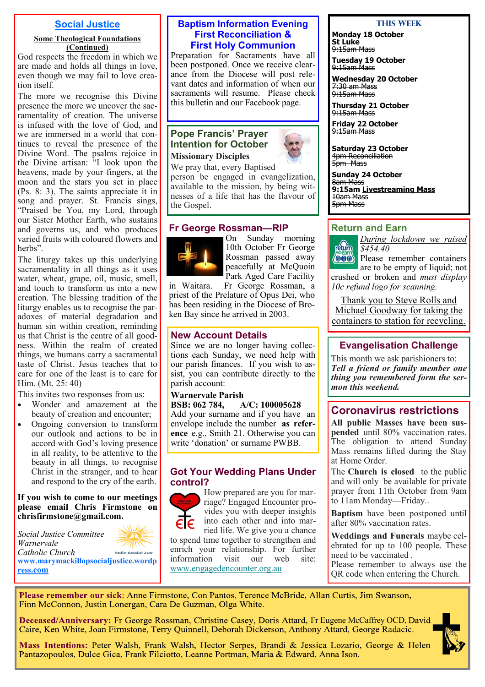#### **Social Justice**

#### **Some Theological Foundations (Continued)**

God respects the freedom in which we are made and holds all things in love, even though we may fail to love creation itself.

The more we recognise this Divine presence the more we uncover the sacramentality of creation. The universe is infused with the love of God, and we are immersed in a world that continues to reveal the presence of the Divine Word. The psalms rejoice in the Divine artisan: "I look upon the heavens, made by your fingers, at the moon and the stars you set in place (Ps. 8: 3). The saints appreciate it in song and prayer. St. Francis sings, "Praised be You, my Lord, through our Sister Mother Earth, who sustains and governs us, and who produces varied fruits with coloured flowers and herbs".

The liturgy takes up this underlying sacramentality in all things as it uses water, wheat, grape, oil, music, smell, and touch to transform us into a new creation. The blessing tradition of the liturgy enables us to recognise the paradoxes of material degradation and human sin within creation, reminding us that Christ is the centre of all goodness. Within the realm of created things, we humans carry a sacramental taste of Christ. Jesus teaches that to care for one of the least is to care for Him. (Mt. 25: 40)

This invites two responses from us:

- Wonder and amazement at the beauty of creation and encounter;
- Ongoing conversion to transform our outlook and actions to be in accord with God's loving presence in all reality, to be attentive to the beauty in all things, to recognise Christ in the stranger, and to hear and respond to the cry of the earth.

**If you wish to come to our meetings please email Chris Firmstone on chrisfirmstone@gmail.com.**

*Social Justice Committee Warnervale Catholic Church*  holic Social Just **[www.marymackillopsocialjustice.wordp](http://www.marymackillopsocialjustice.wordpress.com) ress[.com](http://www.marymackillopsocialjustice.wordpress.com)**

#### **Baptism Information Evening First Reconciliation & First Holy Communion**

Preparation for Sacraments have all been postponed. Once we receive clearance from the Diocese will post relevant dates and information of when our sacraments will resume. Please check this bulletin and our Facebook page.

#### **Pope Francis' Prayer Intention for October Missionary Disciples**

We pray that, every Baptised

person be engaged in evangelization, available to the mission, by being witnesses of a life that has the flavour of the Gospel.

#### **Fr George Rossman—RIP**



On Sunday morning 10th October Fr George Rossman passed away peacefully at McQuoin Park Aged Care Facility

in Waitara. Fr George Rossman, a priest of the Prelature of Opus Dei, who has been residing in the Diocese of Broken Bay since he arrived in 2003.

#### **New Account Details**

Since we are no longer having collections each Sunday, we need help with our parish finances. If you wish to assist, you can contribute directly to the parish account:

**Warnervale Parish BSB: 062 784, A/C: 100005628** Add your surname and if you have an envelope include the number **as reference** e.g., Smith 21. Otherwise you can write 'donation' or surname PWBB.

#### **Got Your Wedding Plans Under control?**



How prepared are you for marriage? Engaged Encounter provides you with deeper insights into each other and into married life. We give you a chance

to spend time together to strengthen and enrich your relationship. For further information visit our web site: [www.engagedencounter.org.au](https://bbcatholic.us8.list-manage.com/track/click?u=466af249e088db70ab864d088&id=105257419f&e=e312df0f80)

#### **This Week**

**Monday 18 October St Luke** 9:15am Mass

**Tuesday 19 October** <del>9:15am Mass</del>

**Wednesday 20 October** 7:30 am Mass 9:15am Mass

**Thursday 21 October** <del>9:15am Mass</del>

**Friday 22 October** 9:15am Mass

**Saturday 23 October** 4pm Reconciliation 5<sub>pm</sub> Mass

**Sunday 24 October** 8am Mass **9:15am Livestreaming Mass**  10am Mass 5pm Mass

#### **Return and Earn**



*During lockdown we raised \$454.40* Please remember containers

are to be empty of liquid; not crushed or broken and *must display 10c refund logo for scanning.*

Thank you to Steve Rolls and Michael Goodway for taking the containers to station for recycling.

### **Evangelisation Challenge**

This month we ask parishioners to: *Tell a friend or family member one thing you remembered form the sermon this weekend.*

## **Coronavirus restrictions**

**All public Masses have been suspended** until 80% vaccination rates. The obligation to attend Sunday Mass remains lifted during the Stay at Home Order.

The **Church is closed** to the public and will only be available for private prayer from 11th October from 9am to 11am Monday—Friday..

**Baptism** have been postponed until after 80% vaccination rates.

**Weddings and Funerals** maybe celebrated for up to 100 people. These need to be vaccinated .

Please remember to always use the QR code when entering the Church.

Please remember our sick: Anne Firmstone, Con Pantos, Terence McBride, Allan Curtis, Jim Swanson, Finn McConnon, Justin Lonergan, Cara De Guzman, Olga White.

Deceased/Anniversary: Fr George Rossman, Christine Casey, Doris Attard, Fr Eugene McCaffrey OCD, David Caire, Ken White, Joan Firmstone, Terry Quinnell, Deborah Dickerson, Anthony Attard, George Radacic.

Mass Intentions: Peter Walsh, Frank Walsh, Hector Serpes, Brandi & Jessica Lozario, George & Helen Pantazopoulos, Dulce Gica, Frank Filciotto, Leanne Portman, Maria & Edward, Anna Ison.

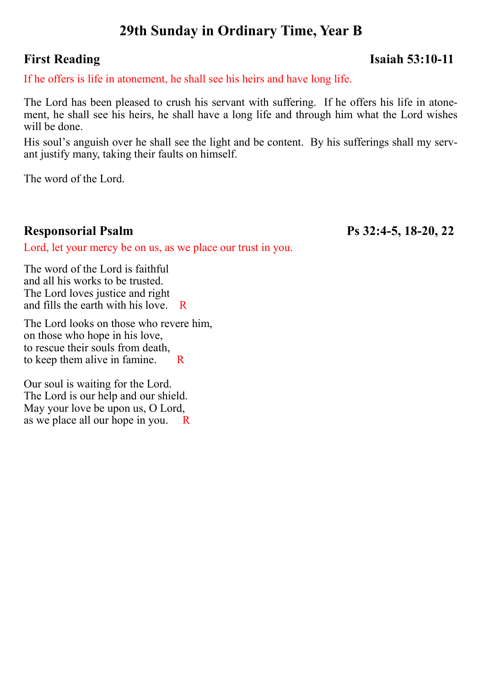# **29th Sunday in Ordinary Time, Year B**

## **First Reading Isaiah 53:10-11**

If he offers is life in atonement, he shall see his heirs and have long life.

The Lord has been pleased to crush his servant with suffering. If he offers his life in atonement, he shall see his heirs, he shall have a long life and through him what the Lord wishes will be done.

His soul's anguish over he shall see the light and be content. By his sufferings shall my servant justify many, taking their faults on himself.

The word of the Lord.

## **Responsorial Psalm Ps 32:4-5, 18-20, 22**

Lord, let your mercy be on us, as we place our trust in you.

The word of the Lord is faithful and all his works to be trusted. The Lord loves justice and right and fills the earth with his love. R

The Lord looks on those who revere him, on those who hope in his love, to rescue their souls from death, to keep them alive in famine.  $R$ 

Our soul is waiting for the Lord. The Lord is our help and our shield. May your love be upon us, O Lord, as we place all our hope in you.  $R$